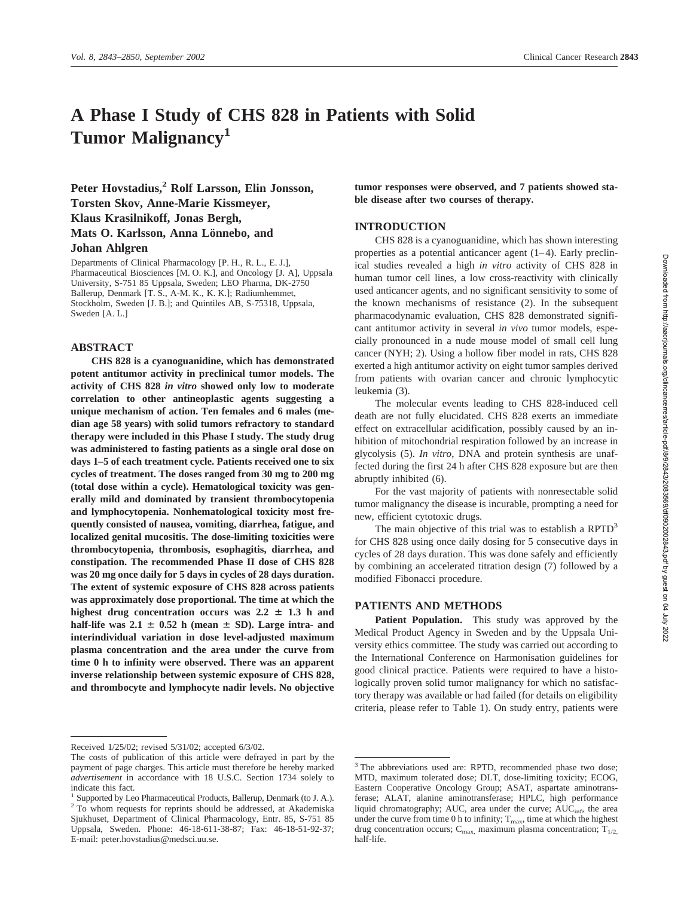# **A Phase I Study of CHS 828 in Patients with Solid Tumor Malignancy1**

Peter Hovstadius,<sup>2</sup> Rolf Larsson, Elin Jonsson, **Torsten Skov, Anne-Marie Kissmeyer,**

**Klaus Krasilnikoff, Jonas Bergh,**

**Mats O. Karlsson, Anna Lönnebo, and Johan Ahlgren**

Departments of Clinical Pharmacology [P. H., R. L., E. J.], Pharmaceutical Biosciences [M. O. K.], and Oncology [J. A], Uppsala University, S-751 85 Uppsala, Sweden; LEO Pharma, DK-2750 Ballerup, Denmark [T. S., A-M. K., K. K.]; Radiumhemmet, Stockholm, Sweden [J. B.]; and Quintiles AB, S-75318, Uppsala, Sweden [A. L.]

## **ABSTRACT**

**CHS 828 is a cyanoguanidine, which has demonstrated potent antitumor activity in preclinical tumor models. The activity of CHS 828** *in vitro* **showed only low to moderate correlation to other antineoplastic agents suggesting a unique mechanism of action. Ten females and 6 males (median age 58 years) with solid tumors refractory to standard therapy were included in this Phase I study. The study drug was administered to fasting patients as a single oral dose on days 1–5 of each treatment cycle. Patients received one to six cycles of treatment. The doses ranged from 30 mg to 200 mg (total dose within a cycle). Hematological toxicity was generally mild and dominated by transient thrombocytopenia and lymphocytopenia. Nonhematological toxicity most frequently consisted of nausea, vomiting, diarrhea, fatigue, and localized genital mucositis. The dose-limiting toxicities were thrombocytopenia, thrombosis, esophagitis, diarrhea, and constipation. The recommended Phase II dose of CHS 828 was 20 mg once daily for 5 days in cycles of 28 days duration. The extent of systemic exposure of CHS 828 across patients was approximately dose proportional. The time at which the** highest drug concentration occurs was  $2.2 \pm 1.3$  h and half-life was  $2.1 \pm 0.52$  h (mean  $\pm$  SD). Large intra- and **interindividual variation in dose level-adjusted maximum plasma concentration and the area under the curve from time 0 h to infinity were observed. There was an apparent inverse relationship between systemic exposure of CHS 828, and thrombocyte and lymphocyte nadir levels. No objective**

**tumor responses were observed, and 7 patients showed stable disease after two courses of therapy.**

## **INTRODUCTION**

CHS 828 is a cyanoguanidine, which has shown interesting properties as a potential anticancer agent (1–4). Early preclinical studies revealed a high *in vitro* activity of CHS 828 in human tumor cell lines, a low cross-reactivity with clinically used anticancer agents, and no significant sensitivity to some of the known mechanisms of resistance (2). In the subsequent pharmacodynamic evaluation, CHS 828 demonstrated significant antitumor activity in several *in vivo* tumor models, especially pronounced in a nude mouse model of small cell lung cancer (NYH; 2). Using a hollow fiber model in rats, CHS 828 exerted a high antitumor activity on eight tumor samples derived from patients with ovarian cancer and chronic lymphocytic leukemia (3).

The molecular events leading to CHS 828-induced cell death are not fully elucidated. CHS 828 exerts an immediate effect on extracellular acidification, possibly caused by an inhibition of mitochondrial respiration followed by an increase in glycolysis (5). *In vitro*, DNA and protein synthesis are unaffected during the first 24 h after CHS 828 exposure but are then abruptly inhibited (6).

For the vast majority of patients with nonresectable solid tumor malignancy the disease is incurable, prompting a need for new, efficient cytotoxic drugs.

The main objective of this trial was to establish a  $RPTD<sup>3</sup>$ for CHS 828 using once daily dosing for 5 consecutive days in cycles of 28 days duration. This was done safely and efficiently by combining an accelerated titration design (7) followed by a modified Fibonacci procedure.

#### **PATIENTS AND METHODS**

**Patient Population.** This study was approved by the Medical Product Agency in Sweden and by the Uppsala University ethics committee. The study was carried out according to the International Conference on Harmonisation guidelines for good clinical practice. Patients were required to have a histologically proven solid tumor malignancy for which no satisfactory therapy was available or had failed (for details on eligibility criteria, please refer to Table 1). On study entry, patients were

Received 1/25/02; revised 5/31/02; accepted 6/3/02.

The costs of publication of this article were defrayed in part by the payment of page charges. This article must therefore be hereby marked *advertisement* in accordance with 18 U.S.C. Section 1734 solely to indicate this fact.

<sup>&</sup>lt;sup>1</sup> Supported by Leo Pharmaceutical Products, Ballerup, Denmark (to J. A.). <sup>2</sup> To whom requests for reprints should be addressed, at Akademiska Sjukhuset, Department of Clinical Pharmacology, Entr. 85, S-751 85 Uppsala, Sweden. Phone: 46-18-611-38-87; Fax: 46-18-51-92-37; E-mail: peter.hovstadius@medsci.uu.se.

<sup>&</sup>lt;sup>3</sup> The abbreviations used are: RPTD, recommended phase two dose; MTD, maximum tolerated dose; DLT, dose-limiting toxicity; ECOG, Eastern Cooperative Oncology Group; ASAT, aspartate aminotransferase; ALAT, alanine aminotransferase; HPLC, high performance liquid chromatography; AUC, area under the curve;  $AUC_{\text{inf}}$ , the area under the curve from time 0 h to infinity;  $T_{\text{max}}$ , time at which the highest drug concentration occurs;  $C_{\text{max}}$ , maximum plasma concentration;  $T_{1/2}$ , half-life.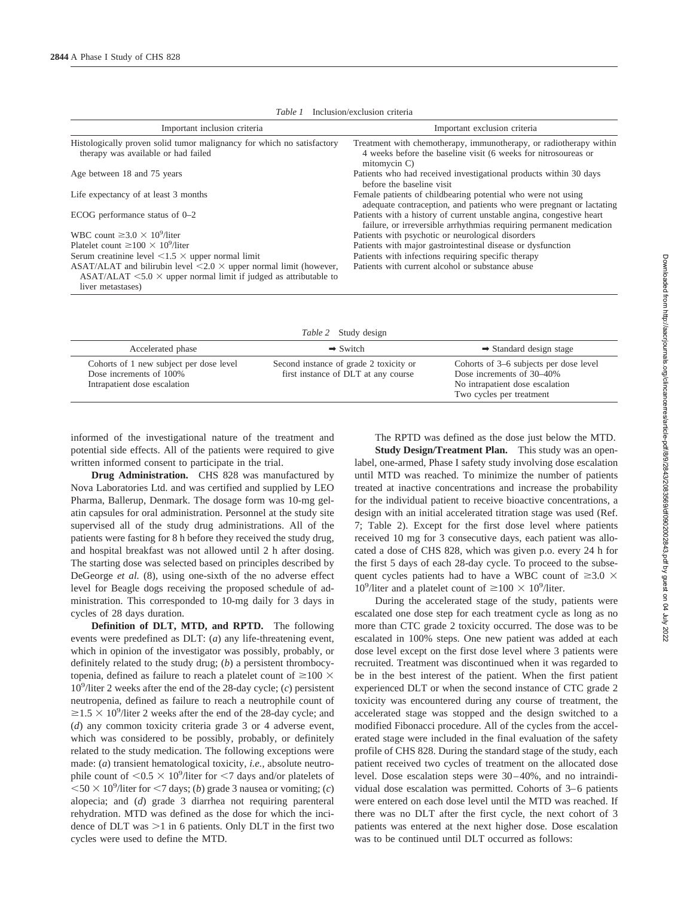| Important inclusion criteria                                                                                                                                                     | Important exclusion criteria                                                                                                                         |  |  |  |  |  |  |
|----------------------------------------------------------------------------------------------------------------------------------------------------------------------------------|------------------------------------------------------------------------------------------------------------------------------------------------------|--|--|--|--|--|--|
| Histologically proven solid tumor malignancy for which no satisfactory<br>therapy was available or had failed                                                                    | Treatment with chemotherapy, immunotherapy, or radiotherapy within<br>4 weeks before the baseline visit (6 weeks for nitrosoureas or<br>mitomycin C) |  |  |  |  |  |  |
| Age between 18 and 75 years                                                                                                                                                      | Patients who had received investigational products within 30 days<br>before the baseline visit                                                       |  |  |  |  |  |  |
| Life expectancy of at least 3 months                                                                                                                                             | Female patients of childbearing potential who were not using<br>adequate contraception, and patients who were pregnant or lactating                  |  |  |  |  |  |  |
| ECOG performance status of $0-2$                                                                                                                                                 | Patients with a history of current unstable angina, congestive heart<br>failure, or irreversible arrhythmias requiring permanent medication          |  |  |  |  |  |  |
| WBC count $\geq 3.0 \times 10^9$ /liter                                                                                                                                          | Patients with psychotic or neurological disorders                                                                                                    |  |  |  |  |  |  |
| Platelet count $\geq 100 \times 10^9$ /liter                                                                                                                                     | Patients with major gastrointestinal disease or dysfunction                                                                                          |  |  |  |  |  |  |
| Serum creatinine level $\leq 1.5 \times$ upper normal limit                                                                                                                      | Patients with infections requiring specific therapy                                                                                                  |  |  |  |  |  |  |
| ASAT/ALAT and bilirubin level $\leq 2.0 \times$ upper normal limit (however,<br>ASAT/ALAT $\leq 5.0 \times$ upper normal limit if judged as attributable to<br>liver metastases) | Patients with current alcohol or substance abuse                                                                                                     |  |  |  |  |  |  |

*Table 1* Inclusion/exclusion criteria

| <i>Table 2</i> Study design                                                                        |                                                                               |                                                                                                                                    |  |  |  |  |
|----------------------------------------------------------------------------------------------------|-------------------------------------------------------------------------------|------------------------------------------------------------------------------------------------------------------------------------|--|--|--|--|
| Accelerated phase                                                                                  | $\rightarrow$ Switch                                                          | $\rightarrow$ Standard design stage                                                                                                |  |  |  |  |
| Cohorts of 1 new subject per dose level<br>Dose increments of 100%<br>Intrapatient dose escalation | Second instance of grade 2 toxicity or<br>first instance of DLT at any course | Cohorts of 3–6 subjects per dose level<br>Dose increments of 30–40%<br>No intrapatient dose escalation<br>Two cycles per treatment |  |  |  |  |

informed of the investigational nature of the treatment and potential side effects. All of the patients were required to give written informed consent to participate in the trial.

**Drug Administration.** CHS 828 was manufactured by Nova Laboratories Ltd. and was certified and supplied by LEO Pharma, Ballerup, Denmark. The dosage form was 10-mg gelatin capsules for oral administration. Personnel at the study site supervised all of the study drug administrations. All of the patients were fasting for 8 h before they received the study drug, and hospital breakfast was not allowed until 2 h after dosing. The starting dose was selected based on principles described by DeGeorge *et al.* (8), using one-sixth of the no adverse effect level for Beagle dogs receiving the proposed schedule of administration. This corresponded to 10-mg daily for 3 days in cycles of 28 days duration.

**Definition of DLT, MTD, and RPTD.** The following events were predefined as DLT: (*a*) any life-threatening event, which in opinion of the investigator was possibly, probably, or definitely related to the study drug; (*b*) a persistent thrombocytopenia, defined as failure to reach a platelet count of  $\geq$ 100  $\times$ 109 /liter 2 weeks after the end of the 28-day cycle; (*c*) persistent neutropenia, defined as failure to reach a neutrophile count of  $\geq$ 1.5  $\times$  10<sup>9</sup>/liter 2 weeks after the end of the 28-day cycle; and (*d*) any common toxicity criteria grade 3 or 4 adverse event, which was considered to be possibly, probably, or definitely related to the study medication. The following exceptions were made: (*a*) transient hematological toxicity, *i.e.,* absolute neutrophile count of  $\langle 0.5 \times 10^9 \rangle$  liter for  $\langle 7 \rangle$  days and/or platelets of  $<$  50  $\times$  10<sup>9</sup>/liter for  $<$  7 days; (*b*) grade 3 nausea or vomiting; (*c*) alopecia; and (*d*) grade 3 diarrhea not requiring parenteral rehydration. MTD was defined as the dose for which the incidence of DLT was  $>1$  in 6 patients. Only DLT in the first two cycles were used to define the MTD.

The RPTD was defined as the dose just below the MTD.

**Study Design/Treatment Plan.** This study was an openlabel, one-armed, Phase I safety study involving dose escalation until MTD was reached. To minimize the number of patients treated at inactive concentrations and increase the probability for the individual patient to receive bioactive concentrations, a design with an initial accelerated titration stage was used (Ref. 7; Table 2). Except for the first dose level where patients received 10 mg for 3 consecutive days, each patient was allocated a dose of CHS 828, which was given p.o. every 24 h for the first 5 days of each 28-day cycle. To proceed to the subsequent cycles patients had to have a WBC count of  $\geq 3.0 \times$ 10<sup>9</sup>/liter and a platelet count of  $\geq$  100  $\times$  10<sup>9</sup>/liter.

During the accelerated stage of the study, patients were escalated one dose step for each treatment cycle as long as no more than CTC grade 2 toxicity occurred. The dose was to be escalated in 100% steps. One new patient was added at each dose level except on the first dose level where 3 patients were recruited. Treatment was discontinued when it was regarded to be in the best interest of the patient. When the first patient experienced DLT or when the second instance of CTC grade 2 toxicity was encountered during any course of treatment, the accelerated stage was stopped and the design switched to a modified Fibonacci procedure. All of the cycles from the accelerated stage were included in the final evaluation of the safety profile of CHS 828. During the standard stage of the study, each patient received two cycles of treatment on the allocated dose level. Dose escalation steps were 30–40%, and no intraindividual dose escalation was permitted. Cohorts of 3–6 patients were entered on each dose level until the MTD was reached. If there was no DLT after the first cycle, the next cohort of 3 patients was entered at the next higher dose. Dose escalation was to be continued until DLT occurred as follows: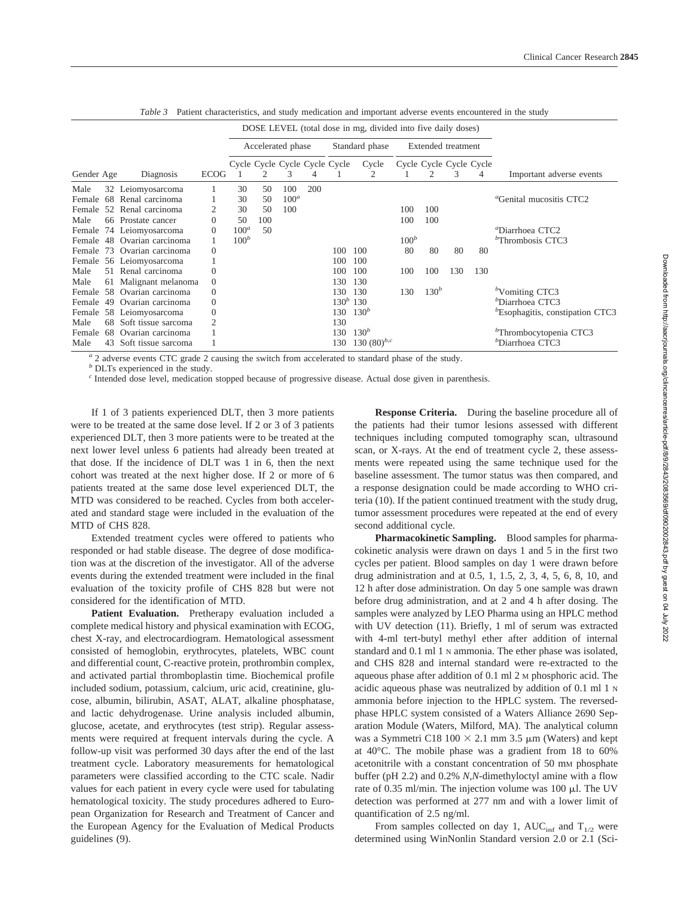|            |    |                             |                   | DOSE LEVEL (total dose in mg, divided into five daily doses) |     |                               |     |                    |                  |         |                  |     |                         |                                     |
|------------|----|-----------------------------|-------------------|--------------------------------------------------------------|-----|-------------------------------|-----|--------------------|------------------|---------|------------------|-----|-------------------------|-------------------------------------|
|            |    |                             | Accelerated phase |                                                              |     | Standard phase                |     | Extended treatment |                  |         |                  |     |                         |                                     |
|            |    |                             |                   |                                                              |     | Cycle Cycle Cycle Cycle Cycle |     |                    | Cycle            |         |                  |     | Cycle Cycle Cycle Cycle |                                     |
| Gender Age |    | Diagnosis                   | <b>ECOG</b>       |                                                              |     | 3                             |     |                    | 2                |         | 2                | 3   | 4                       | Important adverse events            |
| Male       | 32 | Leiomyosarcoma              |                   | 30                                                           | 50  | 100                           | 200 |                    |                  |         |                  |     |                         |                                     |
| Female     | 68 | Renal carcinoma             |                   | 30                                                           | 50  | $100^a$                       |     |                    |                  |         |                  |     |                         | <sup>a</sup> Genital mucositis CTC2 |
| Female     |    | 52 Renal carcinoma          |                   | 30                                                           | 50  | 100                           |     |                    |                  | 100     | 100              |     |                         |                                     |
| Male       |    | 66 Prostate cancer          |                   | 50                                                           | 100 |                               |     |                    |                  | 100     | 100              |     |                         |                                     |
| Female     |    | 74 Leiomyosarcoma           | $\theta$          | $100^a$                                                      | 50  |                               |     |                    |                  |         |                  |     |                         | "Diarrhoea CTC2                     |
|            |    | Female 48 Ovarian carcinoma |                   | $100^b$                                                      |     |                               |     |                    |                  | $100^b$ |                  |     |                         | "Thrombosis CTC3                    |
| Female     |    | 73 Ovarian carcinoma        | $\theta$          |                                                              |     |                               |     | 100                | 100              | 80      | 80               | 80  | 80                      |                                     |
| Female     |    | 56 Leiomyosarcoma           |                   |                                                              |     |                               |     | 100                | 100              |         |                  |     |                         |                                     |
| Male       |    | 51 Renal carcinoma          |                   |                                                              |     |                               |     | 100                | 100              | 100     | 100              | 130 | 130                     |                                     |
| Male       | 61 | Malignant melanoma          | $\overline{0}$    |                                                              |     |                               |     | 130                | 130              |         |                  |     |                         |                                     |
| Female     |    | 58 Ovarian carcinoma        | $\theta$          |                                                              |     |                               |     | 130                | 130              | 130     | 130 <sup>b</sup> |     |                         | $b$ Vomiting CTC3                   |
| Female     | 49 | Ovarian carcinoma           | $\theta$          |                                                              |     |                               |     |                    | $130^b$ 130      |         |                  |     |                         | "Diarrhoea CTC3                     |
| Female     |    | 58 Leiomyosarcoma           | $\theta$          |                                                              |     |                               |     | 130                | 130 <sup>b</sup> |         |                  |     |                         | "Esophagitis, constipation CTC3     |
| Male       | 68 | Soft tissue sarcoma         |                   |                                                              |     |                               |     | 130                |                  |         |                  |     |                         |                                     |
| Female     | 68 | Ovarian carcinoma           |                   |                                                              |     |                               |     | 130                | $130^b$          |         |                  |     |                         | <sup>b</sup> Thrombocytopenia CTC3  |
| Male       | 43 | Soft tissue sarcoma         |                   |                                                              |     |                               |     | 130                | 130 $(80)^{b,c}$ |         |                  |     |                         | <sup><i>b</i></sup> Diarrhoea CTC3  |

*Table 3* Patient characteristics, and study medication and important adverse events encountered in the study

*<sup>a</sup>* 2 adverse events CTC grade 2 causing the switch from accelerated to standard phase of the study.

*<sup>b</sup>* DLTs experienced in the study.

*<sup>c</sup>* Intended dose level, medication stopped because of progressive disease. Actual dose given in parenthesis.

If 1 of 3 patients experienced DLT, then 3 more patients were to be treated at the same dose level. If 2 or 3 of 3 patients experienced DLT, then 3 more patients were to be treated at the next lower level unless 6 patients had already been treated at that dose. If the incidence of DLT was 1 in 6, then the next cohort was treated at the next higher dose. If 2 or more of 6 patients treated at the same dose level experienced DLT, the MTD was considered to be reached. Cycles from both accelerated and standard stage were included in the evaluation of the MTD of CHS 828.

Extended treatment cycles were offered to patients who responded or had stable disease. The degree of dose modification was at the discretion of the investigator. All of the adverse events during the extended treatment were included in the final evaluation of the toxicity profile of CHS 828 but were not considered for the identification of MTD.

Patient Evaluation. Pretherapy evaluation included a complete medical history and physical examination with ECOG, chest X-ray, and electrocardiogram. Hematological assessment consisted of hemoglobin, erythrocytes, platelets, WBC count and differential count, C-reactive protein, prothrombin complex, and activated partial thromboplastin time. Biochemical profile included sodium, potassium, calcium, uric acid, creatinine, glucose, albumin, bilirubin, ASAT, ALAT, alkaline phosphatase, and lactic dehydrogenase. Urine analysis included albumin, glucose, acetate, and erythrocytes (test strip). Regular assessments were required at frequent intervals during the cycle. A follow-up visit was performed 30 days after the end of the last treatment cycle. Laboratory measurements for hematological parameters were classified according to the CTC scale. Nadir values for each patient in every cycle were used for tabulating hematological toxicity. The study procedures adhered to European Organization for Research and Treatment of Cancer and the European Agency for the Evaluation of Medical Products guidelines (9).

**Response Criteria.** During the baseline procedure all of the patients had their tumor lesions assessed with different techniques including computed tomography scan, ultrasound scan, or X-rays. At the end of treatment cycle 2, these assessments were repeated using the same technique used for the baseline assessment. The tumor status was then compared, and a response designation could be made according to WHO criteria (10). If the patient continued treatment with the study drug, tumor assessment procedures were repeated at the end of every second additional cycle.

**Pharmacokinetic Sampling.** Blood samples for pharmacokinetic analysis were drawn on days 1 and 5 in the first two cycles per patient. Blood samples on day 1 were drawn before drug administration and at 0.5, 1, 1.5, 2, 3, 4, 5, 6, 8, 10, and 12 h after dose administration. On day 5 one sample was drawn before drug administration, and at 2 and 4 h after dosing. The samples were analyzed by LEO Pharma using an HPLC method with UV detection (11). Briefly, 1 ml of serum was extracted with 4-ml tert-butyl methyl ether after addition of internal standard and 0.1 ml 1 N ammonia. The ether phase was isolated, and CHS 828 and internal standard were re-extracted to the aqueous phase after addition of 0.1 ml 2 M phosphoric acid. The acidic aqueous phase was neutralized by addition of 0.1 ml 1 N ammonia before injection to the HPLC system. The reversedphase HPLC system consisted of a Waters Alliance 2690 Separation Module (Waters, Milford, MA). The analytical column was a Symmetri C18 100  $\times$  2.1 mm 3.5  $\mu$ m (Waters) and kept at 40°C. The mobile phase was a gradient from 18 to 60% acetonitrile with a constant concentration of 50 mm phosphate buffer (pH 2.2) and 0.2% *N,N*-dimethyloctyl amine with a flow rate of 0.35 ml/min. The injection volume was 100  $\mu$ l. The UV detection was performed at 277 nm and with a lower limit of quantification of 2.5 ng/ml.

From samples collected on day 1, AUC<sub>inf</sub> and T<sub>1/2</sub> were determined using WinNonlin Standard version 2.0 or 2.1 (Sci-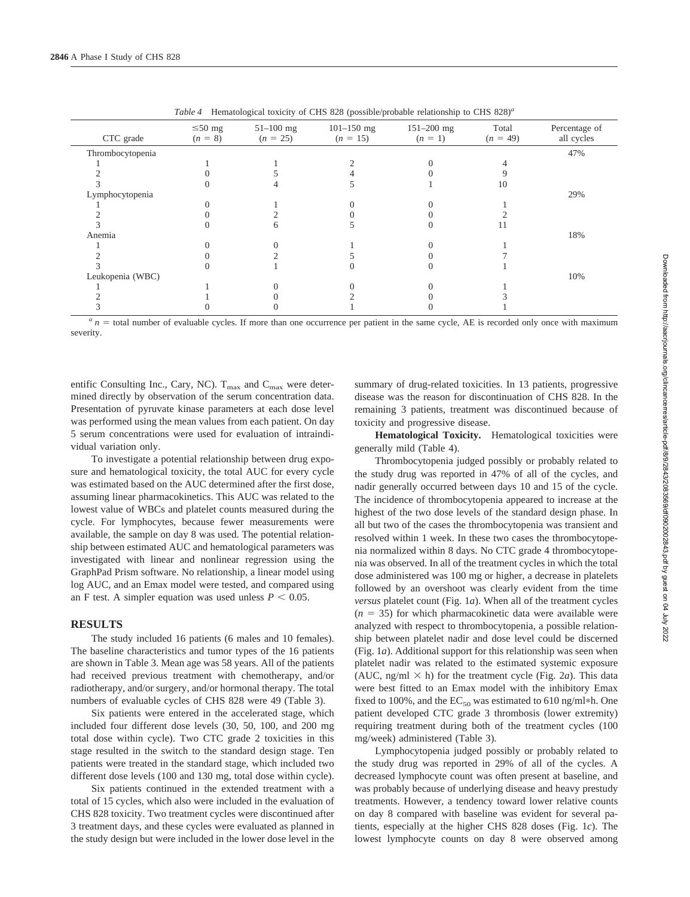| CTC grade        | $\leq 50$ mg<br>$(n = 8)$ | $51 - 100$ mg<br>$(n = 25)$ | $101 - 150$ mg<br>$(n = 15)$ | $151 - 200$ mg<br>$(n = 1)$ | Total<br>$(n = 49)$ | Percentage of<br>all cycles |
|------------------|---------------------------|-----------------------------|------------------------------|-----------------------------|---------------------|-----------------------------|
| Thrombocytopenia |                           |                             |                              |                             |                     | 47%                         |
|                  |                           |                             |                              |                             |                     |                             |
|                  |                           |                             |                              |                             |                     |                             |
|                  |                           |                             |                              |                             | 10                  |                             |
| Lymphocytopenia  |                           |                             |                              |                             |                     | 29%                         |
|                  |                           |                             |                              |                             |                     |                             |
|                  |                           |                             |                              |                             |                     |                             |
|                  |                           |                             |                              |                             |                     |                             |
| Anemia           |                           |                             |                              |                             |                     | 18%                         |
|                  |                           |                             |                              |                             |                     |                             |
|                  |                           |                             |                              |                             |                     |                             |
|                  |                           |                             |                              |                             |                     |                             |
| Leukopenia (WBC) |                           |                             |                              |                             |                     | 10%                         |
|                  |                           |                             |                              |                             |                     |                             |
|                  |                           |                             |                              |                             |                     |                             |
|                  |                           |                             |                              |                             |                     |                             |

*Table 4* Hematological toxicity of CHS 828 (possible/probable relationship to CHS 828)*<sup>a</sup>*

 $a_n$  = total number of evaluable cycles. If more than one occurrence per patient in the same cycle, AE is recorded only once with maximum severity.

entific Consulting Inc., Cary, NC).  $T_{\text{max}}$  and  $C_{\text{max}}$  were determined directly by observation of the serum concentration data. Presentation of pyruvate kinase parameters at each dose level was performed using the mean values from each patient. On day 5 serum concentrations were used for evaluation of intraindividual variation only.

To investigate a potential relationship between drug exposure and hematological toxicity, the total AUC for every cycle was estimated based on the AUC determined after the first dose, assuming linear pharmacokinetics. This AUC was related to the lowest value of WBCs and platelet counts measured during the cycle. For lymphocytes, because fewer measurements were available, the sample on day 8 was used. The potential relationship between estimated AUC and hematological parameters was investigated with linear and nonlinear regression using the GraphPad Prism software. No relationship, a linear model using log AUC, and an Emax model were tested, and compared using an F test. A simpler equation was used unless  $P < 0.05$ .

#### **RESULTS**

The study included 16 patients (6 males and 10 females). The baseline characteristics and tumor types of the 16 patients are shown in Table 3. Mean age was 58 years. All of the patients had received previous treatment with chemotherapy, and/or radiotherapy, and/or surgery, and/or hormonal therapy. The total numbers of evaluable cycles of CHS 828 were 49 (Table 3).

Six patients were entered in the accelerated stage, which included four different dose levels (30, 50, 100, and 200 mg total dose within cycle). Two CTC grade 2 toxicities in this stage resulted in the switch to the standard design stage. Ten patients were treated in the standard stage, which included two different dose levels (100 and 130 mg, total dose within cycle).

Six patients continued in the extended treatment with a total of 15 cycles, which also were included in the evaluation of CHS 828 toxicity. Two treatment cycles were discontinued after 3 treatment days, and these cycles were evaluated as planned in the study design but were included in the lower dose level in the

summary of drug-related toxicities. In 13 patients, progressive disease was the reason for discontinuation of CHS 828. In the remaining 3 patients, treatment was discontinued because of toxicity and progressive disease.

**Hematological Toxicity.** Hematological toxicities were generally mild (Table 4).

Thrombocytopenia judged possibly or probably related to the study drug was reported in 47% of all of the cycles, and nadir generally occurred between days 10 and 15 of the cycle. The incidence of thrombocytopenia appeared to increase at the highest of the two dose levels of the standard design phase. In all but two of the cases the thrombocytopenia was transient and resolved within 1 week. In these two cases the thrombocytopenia normalized within 8 days. No CTC grade 4 thrombocytopenia was observed. In all of the treatment cycles in which the total dose administered was 100 mg or higher, a decrease in platelets followed by an overshoot was clearly evident from the time *versus* platelet count (Fig. 1*a*). When all of the treatment cycles  $(n = 35)$  for which pharmacokinetic data were available were analyzed with respect to thrombocytopenia, a possible relationship between platelet nadir and dose level could be discerned (Fig. 1*a*). Additional support for this relationship was seen when platelet nadir was related to the estimated systemic exposure (AUC, ng/ml  $\times$  h) for the treatment cycle (Fig. 2*a*). This data were best fitted to an Emax model with the inhibitory Emax fixed to 100%, and the  $EC_{50}$  was estimated to 610 ng/ml\*h. One patient developed CTC grade 3 thrombosis (lower extremity) requiring treatment during both of the treatment cycles (100 mg/week) administered (Table 3).

Lymphocytopenia judged possibly or probably related to the study drug was reported in 29% of all of the cycles. A decreased lymphocyte count was often present at baseline, and was probably because of underlying disease and heavy prestudy treatments. However, a tendency toward lower relative counts on day 8 compared with baseline was evident for several patients, especially at the higher CHS 828 doses (Fig. 1*c*). The lowest lymphocyte counts on day 8 were observed among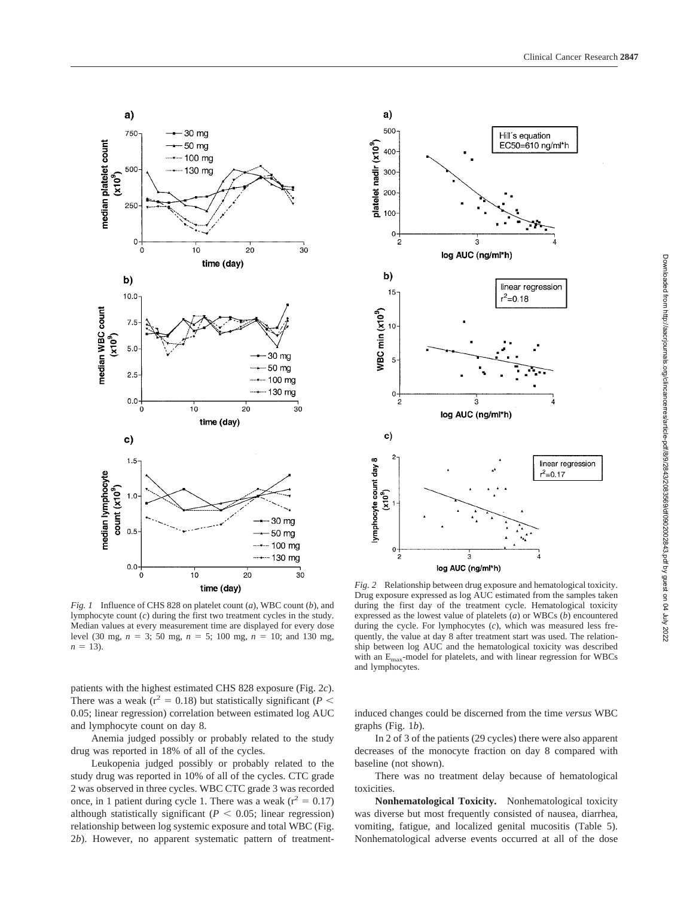

*Fig. 1* Influence of CHS 828 on platelet count (*a*), WBC count (*b*), and lymphocyte count (*c*) during the first two treatment cycles in the study. Median values at every measurement time are displayed for every dose level (30 mg,  $n = 3$ ; 50 mg,  $n = 5$ ; 100 mg,  $n = 10$ ; and 130 mg,  $n = 13$ ).

patients with the highest estimated CHS 828 exposure (Fig. 2*c*). There was a weak  $(r^2 = 0.18)$  but statistically significant (*P* < 0.05; linear regression) correlation between estimated log AUC and lymphocyte count on day 8.

Anemia judged possibly or probably related to the study drug was reported in 18% of all of the cycles.

Leukopenia judged possibly or probably related to the study drug was reported in 10% of all of the cycles. CTC grade 2 was observed in three cycles. WBC CTC grade 3 was recorded once, in 1 patient during cycle 1. There was a weak ( $r^2 = 0.17$ ) although statistically significant ( $P < 0.05$ ; linear regression) relationship between log systemic exposure and total WBC (Fig. 2*b*). However, no apparent systematic pattern of treatment-



*Fig. 2* Relationship between drug exposure and hematological toxicity. Drug exposure expressed as log AUC estimated from the samples taken during the first day of the treatment cycle. Hematological toxicity expressed as the lowest value of platelets (*a*) or WBCs (*b*) encountered during the cycle. For lymphocytes (*c*), which was measured less frequently, the value at day 8 after treatment start was used. The relationship between log AUC and the hematological toxicity was described with an  $E_{\text{max}}$ -model for platelets, and with linear regression for WBCs and lymphocytes.

induced changes could be discerned from the time *versus* WBC graphs (Fig. 1*b*).

In 2 of 3 of the patients (29 cycles) there were also apparent decreases of the monocyte fraction on day 8 compared with baseline (not shown).

There was no treatment delay because of hematological toxicities.

**Nonhematological Toxicity.** Nonhematological toxicity was diverse but most frequently consisted of nausea, diarrhea, vomiting, fatigue, and localized genital mucositis (Table 5). Nonhematological adverse events occurred at all of the dose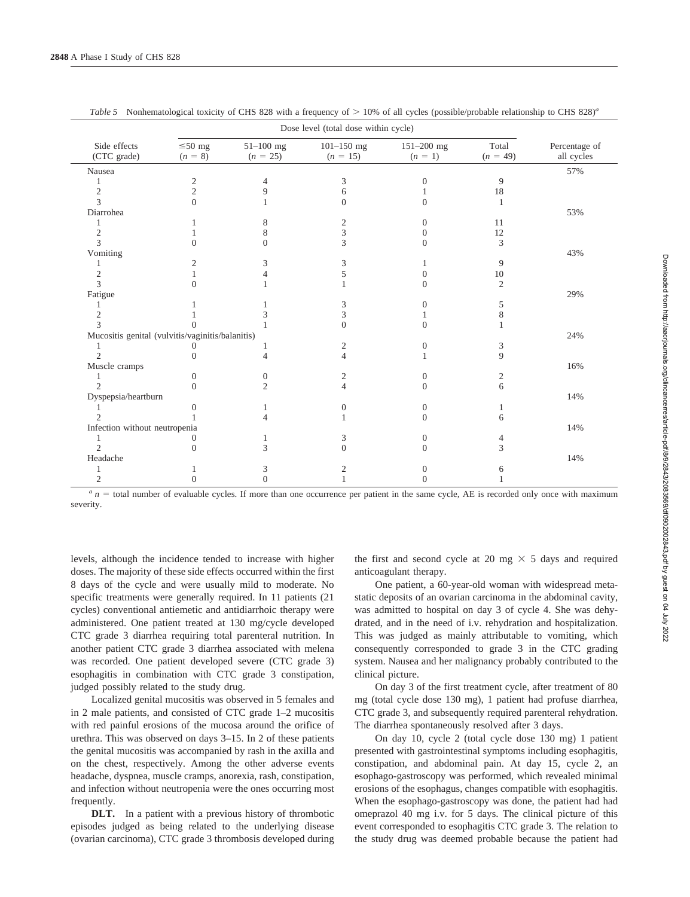|                                                  |                           | Dose level (total dose within cycle) |                              |                             |                     |                             |  |  |  |  |
|--------------------------------------------------|---------------------------|--------------------------------------|------------------------------|-----------------------------|---------------------|-----------------------------|--|--|--|--|
| Side effects<br>(CTC grade)                      | $\leq 50$ mg<br>$(n = 8)$ | $51 - 100$ mg<br>$(n = 25)$          | $101 - 150$ mg<br>$(n = 15)$ | $151 - 200$ mg<br>$(n = 1)$ | Total<br>$(n = 49)$ | Percentage of<br>all cycles |  |  |  |  |
| Nausea                                           |                           |                                      |                              |                             |                     | 57%                         |  |  |  |  |
|                                                  | 2                         | 4                                    | 3                            | 0                           | 9                   |                             |  |  |  |  |
| $\mathfrak{2}$                                   | $\overline{c}$            | 9                                    | 6                            |                             | 18                  |                             |  |  |  |  |
| 3                                                | $\theta$                  |                                      | 0                            | 0                           |                     |                             |  |  |  |  |
| Diarrohea                                        |                           |                                      |                              |                             |                     | 53%                         |  |  |  |  |
|                                                  |                           | 8                                    | 2                            | 0                           | 11                  |                             |  |  |  |  |
| 2                                                |                           | 8                                    | 3                            | $\mathbf{\Omega}$           | 12                  |                             |  |  |  |  |
| 3                                                | $\Omega$                  | $\Omega$                             | 3                            | 0                           | 3                   |                             |  |  |  |  |
| Vomiting                                         |                           |                                      |                              |                             |                     | 43%                         |  |  |  |  |
|                                                  | 2                         | 3                                    | 3                            |                             | 9                   |                             |  |  |  |  |
| $\mathfrak{2}$                                   |                           | Δ                                    | 5                            | $\mathbf{\Omega}$           | 10                  |                             |  |  |  |  |
| 3                                                | $\Omega$                  |                                      |                              | 0                           | $\overline{2}$      |                             |  |  |  |  |
| Fatigue                                          |                           |                                      |                              |                             |                     | 29%                         |  |  |  |  |
|                                                  |                           |                                      | 3                            | 0                           | 5                   |                             |  |  |  |  |
| $\overline{c}$                                   |                           |                                      | 3                            |                             | 8                   |                             |  |  |  |  |
| 3                                                |                           |                                      | $\theta$                     | 0                           |                     |                             |  |  |  |  |
| Mucositis genital (vulvitis/vaginitis/balanitis) |                           |                                      |                              |                             |                     | 24%                         |  |  |  |  |
|                                                  |                           |                                      | 2                            | 0                           | 3                   |                             |  |  |  |  |
| $\mathfrak{D}$                                   | 0                         | 4                                    | 4                            |                             | 9                   |                             |  |  |  |  |
| Muscle cramps                                    |                           |                                      |                              |                             |                     | 16%                         |  |  |  |  |
|                                                  | $\Omega$                  | $\theta$                             | 2                            | 0                           | 2                   |                             |  |  |  |  |
| $\mathfrak{D}$                                   | $\Omega$                  | $\overline{2}$                       | 4                            | $\Omega$                    | 6                   |                             |  |  |  |  |
| Dyspepsia/heartburn                              |                           |                                      |                              |                             |                     | 14%                         |  |  |  |  |
|                                                  |                           |                                      | $\theta$                     | 0                           |                     |                             |  |  |  |  |
|                                                  |                           |                                      |                              | 0                           | 6                   |                             |  |  |  |  |
| Infection without neutropenia                    |                           |                                      |                              |                             |                     | 14%                         |  |  |  |  |
|                                                  | 0                         |                                      | 3                            | 0                           | 4                   |                             |  |  |  |  |
| $\mathfrak{D}$                                   | $\Omega$                  | 3                                    | $\theta$                     | 0                           | 3                   |                             |  |  |  |  |
| Headache                                         |                           |                                      |                              |                             |                     | 14%                         |  |  |  |  |
|                                                  |                           | 3                                    | 2                            |                             | 6                   |                             |  |  |  |  |
| 2                                                |                           | 0                                    |                              |                             |                     |                             |  |  |  |  |

|  |  |  |  |  |  | Table 5 Nonhematological toxicity of CHS 828 with a frequency of $> 10\%$ of all cycles (possible/probable relationship to CHS 828) <sup>a</sup> |
|--|--|--|--|--|--|--------------------------------------------------------------------------------------------------------------------------------------------------|
|--|--|--|--|--|--|--------------------------------------------------------------------------------------------------------------------------------------------------|

*a n* = total number of evaluable cycles. If more than one occurrence per patient in the same cycle, AE is recorded only once with maximum severity.

levels, although the incidence tended to increase with higher doses. The majority of these side effects occurred within the first 8 days of the cycle and were usually mild to moderate. No specific treatments were generally required. In 11 patients (21 cycles) conventional antiemetic and antidiarrhoic therapy were administered. One patient treated at 130 mg/cycle developed CTC grade 3 diarrhea requiring total parenteral nutrition. In another patient CTC grade 3 diarrhea associated with melena was recorded. One patient developed severe (CTC grade 3) esophagitis in combination with CTC grade 3 constipation, judged possibly related to the study drug.

Localized genital mucositis was observed in 5 females and in 2 male patients, and consisted of CTC grade 1–2 mucositis with red painful erosions of the mucosa around the orifice of urethra. This was observed on days 3–15. In 2 of these patients the genital mucositis was accompanied by rash in the axilla and on the chest, respectively. Among the other adverse events headache, dyspnea, muscle cramps, anorexia, rash, constipation, and infection without neutropenia were the ones occurring most frequently.

**DLT.** In a patient with a previous history of thrombotic episodes judged as being related to the underlying disease (ovarian carcinoma), CTC grade 3 thrombosis developed during

the first and second cycle at 20 mg  $\times$  5 days and required anticoagulant therapy.

One patient, a 60-year-old woman with widespread metastatic deposits of an ovarian carcinoma in the abdominal cavity, was admitted to hospital on day 3 of cycle 4. She was dehydrated, and in the need of i.v. rehydration and hospitalization. This was judged as mainly attributable to vomiting, which consequently corresponded to grade 3 in the CTC grading system. Nausea and her malignancy probably contributed to the clinical picture.

On day 3 of the first treatment cycle, after treatment of 80 mg (total cycle dose 130 mg), 1 patient had profuse diarrhea, CTC grade 3, and subsequently required parenteral rehydration. The diarrhea spontaneously resolved after 3 days.

On day 10, cycle 2 (total cycle dose 130 mg) 1 patient presented with gastrointestinal symptoms including esophagitis, constipation, and abdominal pain. At day 15, cycle 2, an esophago-gastroscopy was performed, which revealed minimal erosions of the esophagus, changes compatible with esophagitis. When the esophago-gastroscopy was done, the patient had had omeprazol 40 mg i.v. for 5 days. The clinical picture of this event corresponded to esophagitis CTC grade 3. The relation to the study drug was deemed probable because the patient had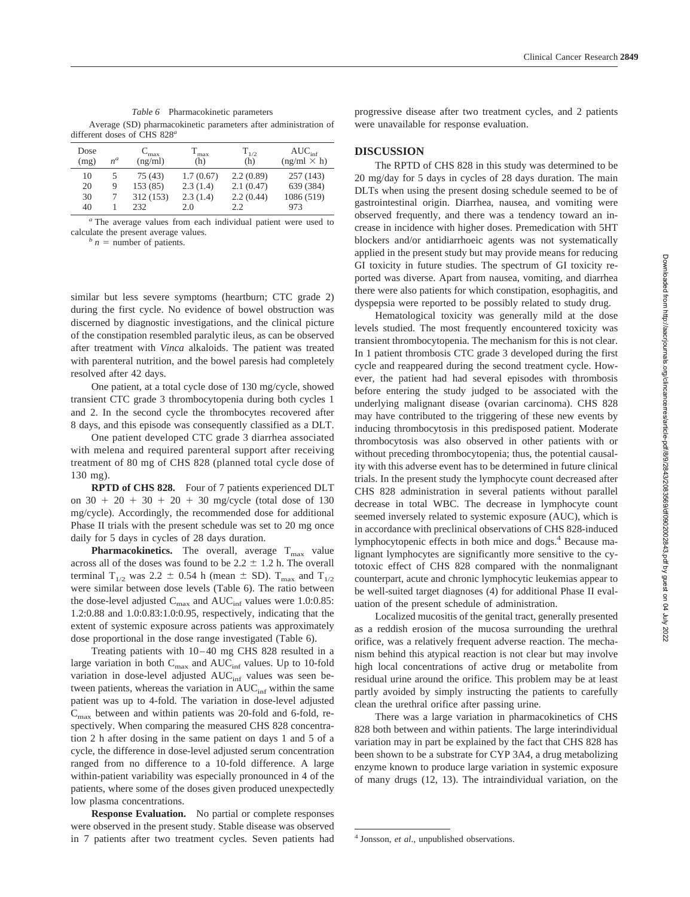*Table 6* Pharmacokinetic parameters Average (SD) pharmacokinetic parameters after administration of different doses of CHS 828*<sup>a</sup>*

| Dose                 | $n^a$       | $C_{\rm max}$                          | $T_{\rm max}$                            | $T_{1/2}$                                   | $AUC_{\text{inf}}$                          |
|----------------------|-------------|----------------------------------------|------------------------------------------|---------------------------------------------|---------------------------------------------|
| (mg)                 |             | (ng/ml)                                | (h)                                      | (h)                                         | $(ng/ml \times h)$                          |
| 10<br>20<br>30<br>40 | 5<br>9<br>7 | 75 (43)<br>153(85)<br>312 (153)<br>232 | 1.7(0.67)<br>2.3(1.4)<br>2.3(1.4)<br>2.0 | 2.2(0.89)<br>2.1(0.47)<br>2.2(0.44)<br>2.2. | 257 (143)<br>639 (384)<br>1086 (519)<br>973 |

*<sup>a</sup>* The average values from each individual patient were used to calculate the present average values.<br> $\frac{b}{n}n =$  number of patients.

similar but less severe symptoms (heartburn; CTC grade 2) during the first cycle. No evidence of bowel obstruction was discerned by diagnostic investigations, and the clinical picture of the constipation resembled paralytic ileus, as can be observed after treatment with *Vinca* alkaloids. The patient was treated with parenteral nutrition, and the bowel paresis had completely resolved after 42 days.

One patient, at a total cycle dose of 130 mg/cycle, showed transient CTC grade 3 thrombocytopenia during both cycles 1 and 2. In the second cycle the thrombocytes recovered after 8 days, and this episode was consequently classified as a DLT.

One patient developed CTC grade 3 diarrhea associated with melena and required parenteral support after receiving treatment of 80 mg of CHS 828 (planned total cycle dose of 130 mg).

**RPTD of CHS 828.** Four of 7 patients experienced DLT on  $30 + 20 + 30 + 20 + 30$  mg/cycle (total dose of 130 mg/cycle). Accordingly, the recommended dose for additional Phase II trials with the present schedule was set to 20 mg once daily for 5 days in cycles of 28 days duration.

**Pharmacokinetics.** The overall, average  $T_{\text{max}}$  value across all of the doses was found to be  $2.2 \pm 1.2$  h. The overall terminal  $T_{1/2}$  was 2.2  $\pm$  0.54 h (mean  $\pm$  SD).  $T_{\text{max}}$  and  $T_{1/2}$ were similar between dose levels (Table 6). The ratio between the dose-level adjusted  $C_{\text{max}}$  and  $AUC_{\text{inf}}$  values were 1.0:0.85: 1.2:0.88 and 1.0:0.83:1.0:0.95, respectively, indicating that the extent of systemic exposure across patients was approximately dose proportional in the dose range investigated (Table 6).

Treating patients with 10–40 mg CHS 828 resulted in a large variation in both  $C_{\text{max}}$  and  $AUC_{\text{inf}}$  values. Up to 10-fold variation in dose-level adjusted AUC<sub>inf</sub> values was seen between patients, whereas the variation in  $AUC_{\text{inf}}$  within the same patient was up to 4-fold. The variation in dose-level adjusted  $C_{\text{max}}$  between and within patients was 20-fold and 6-fold, respectively. When comparing the measured CHS 828 concentration 2 h after dosing in the same patient on days 1 and 5 of a cycle, the difference in dose-level adjusted serum concentration ranged from no difference to a 10-fold difference. A large within-patient variability was especially pronounced in 4 of the patients, where some of the doses given produced unexpectedly low plasma concentrations.

**Response Evaluation.** No partial or complete responses were observed in the present study. Stable disease was observed in 7 patients after two treatment cycles. Seven patients had progressive disease after two treatment cycles, and 2 patients were unavailable for response evaluation.

### **DISCUSSION**

The RPTD of CHS 828 in this study was determined to be 20 mg/day for 5 days in cycles of 28 days duration. The main DLTs when using the present dosing schedule seemed to be of gastrointestinal origin. Diarrhea, nausea, and vomiting were observed frequently, and there was a tendency toward an increase in incidence with higher doses. Premedication with 5HT blockers and/or antidiarrhoeic agents was not systematically applied in the present study but may provide means for reducing GI toxicity in future studies. The spectrum of GI toxicity reported was diverse. Apart from nausea, vomiting, and diarrhea there were also patients for which constipation, esophagitis, and dyspepsia were reported to be possibly related to study drug.

Hematological toxicity was generally mild at the dose levels studied. The most frequently encountered toxicity was transient thrombocytopenia. The mechanism for this is not clear. In 1 patient thrombosis CTC grade 3 developed during the first cycle and reappeared during the second treatment cycle. However, the patient had had several episodes with thrombosis before entering the study judged to be associated with the underlying malignant disease (ovarian carcinoma). CHS 828 may have contributed to the triggering of these new events by inducing thrombocytosis in this predisposed patient. Moderate thrombocytosis was also observed in other patients with or without preceding thrombocytopenia; thus, the potential causality with this adverse event has to be determined in future clinical trials. In the present study the lymphocyte count decreased after CHS 828 administration in several patients without parallel decrease in total WBC. The decrease in lymphocyte count seemed inversely related to systemic exposure (AUC), which is in accordance with preclinical observations of CHS 828-induced lymphocytopenic effects in both mice and dogs.4 Because malignant lymphocytes are significantly more sensitive to the cytotoxic effect of CHS 828 compared with the nonmalignant counterpart, acute and chronic lymphocytic leukemias appear to be well-suited target diagnoses (4) for additional Phase II evaluation of the present schedule of administration.

Localized mucositis of the genital tract, generally presented as a reddish erosion of the mucosa surrounding the urethral orifice, was a relatively frequent adverse reaction. The mechanism behind this atypical reaction is not clear but may involve high local concentrations of active drug or metabolite from residual urine around the orifice. This problem may be at least partly avoided by simply instructing the patients to carefully clean the urethral orifice after passing urine.

There was a large variation in pharmacokinetics of CHS 828 both between and within patients. The large interindividual variation may in part be explained by the fact that CHS 828 has been shown to be a substrate for CYP 3A4, a drug metabolizing enzyme known to produce large variation in systemic exposure of many drugs (12, 13). The intraindividual variation, on the

<sup>4</sup> Jonsson, *et al*., unpublished observations.